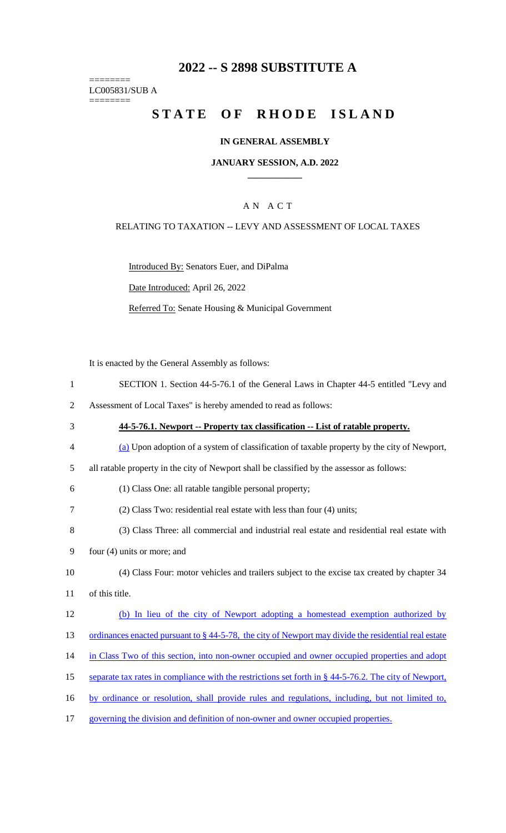## **2022 -- S 2898 SUBSTITUTE A**

======== LC005831/SUB A ========

# STATE OF RHODE ISLAND

#### **IN GENERAL ASSEMBLY**

#### **JANUARY SESSION, A.D. 2022 \_\_\_\_\_\_\_\_\_\_\_\_**

## A N A C T

#### RELATING TO TAXATION -- LEVY AND ASSESSMENT OF LOCAL TAXES

Introduced By: Senators Euer, and DiPalma

Date Introduced: April 26, 2022

Referred To: Senate Housing & Municipal Government

It is enacted by the General Assembly as follows:

- 1 SECTION 1. Section 44-5-76.1 of the General Laws in Chapter 44-5 entitled "Levy and
- 2 Assessment of Local Taxes" is hereby amended to read as follows:
- 3 **44-5-76.1. Newport -- Property tax classification -- List of ratable property.** 4 (a) Upon adoption of a system of classification of taxable property by the city of Newport, 5 all ratable property in the city of Newport shall be classified by the assessor as follows: 6 (1) Class One: all ratable tangible personal property; 7 (2) Class Two: residential real estate with less than four (4) units; 8 (3) Class Three: all commercial and industrial real estate and residential real estate with 9 four (4) units or more; and 10 (4) Class Four: motor vehicles and trailers subject to the excise tax created by chapter 34 11 of this title. 12 (b) In lieu of the city of Newport adopting a homestead exemption authorized by 13 ordinances enacted pursuant to § 44-5-78, the city of Newport may divide the residential real estate 14 in Class Two of this section, into non-owner occupied and owner occupied properties and adopt 15 separate tax rates in compliance with the restrictions set forth in § 44-5-76.2. The city of Newport, 16 by ordinance or resolution, shall provide rules and regulations, including, but not limited to,
- 17 governing the division and definition of non-owner and owner occupied properties.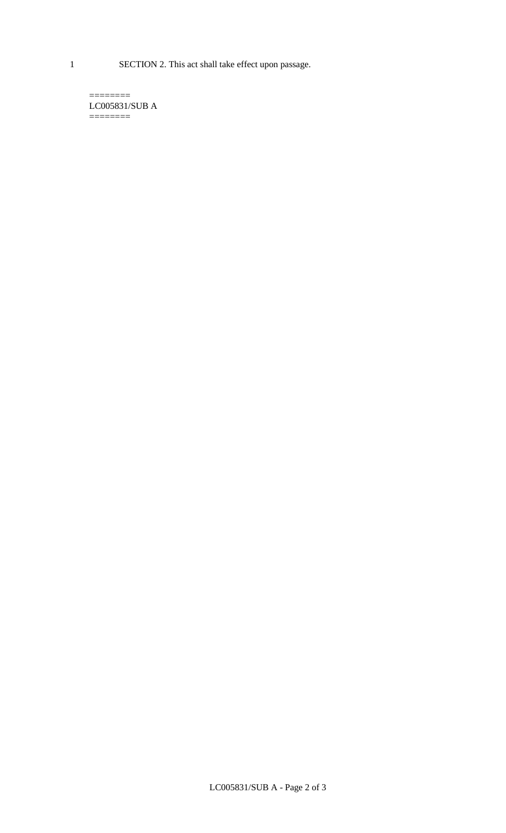1 SECTION 2. This act shall take effect upon passage.

 $=$ LC005831/SUB A  $=$